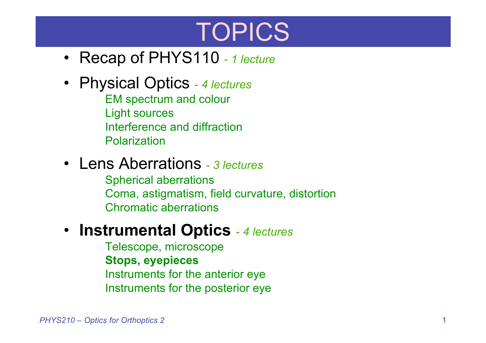# TOPICS

- Recap of PHYS110 *- 1 lecture*
- Physical Optics *- 4 lectures* EM spectrum and colour Light sources Interference and diffraction Polarization
- Lens Aberrations *- 3 lectures*
	- Spherical aberrations Coma, astigmatism, field curvature, distortion Chromatic aberrations
- **Instrumental Optics** *- 4 lectures*
	- Telescope, microscope **Stops, eyepieces** Instruments for the anterior eye Instruments for the posterior eye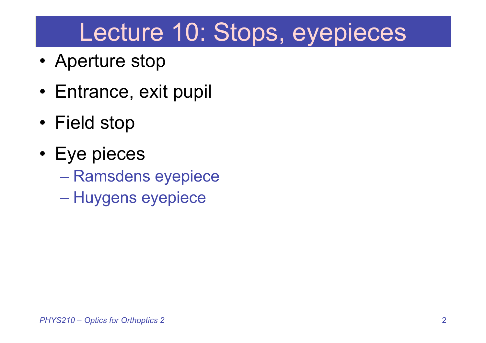# Lecture 10: Stops, eyepieces

- Aperture stop
- Entrance, exit pupil
- Field stop
- Eye pieces
	- Ramsdens eyepiece
	- Huygens eyepiece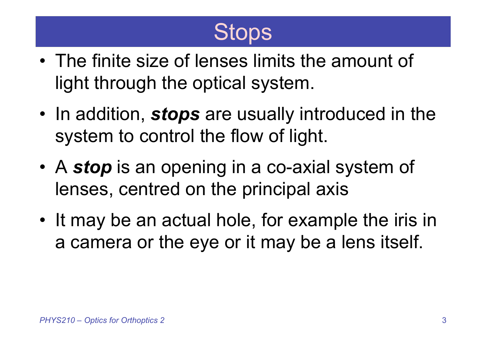## **Stops**

- The finite size of lenses limits the amount of light through the optical system.
- In addition, *stops* are usually introduced in the system to control the flow of light.
- A *stop* is an opening in a co-axial system of lenses, centred on the principal axis
- It may be an actual hole, for example the iris in a camera or the eye or it may be a lens itself.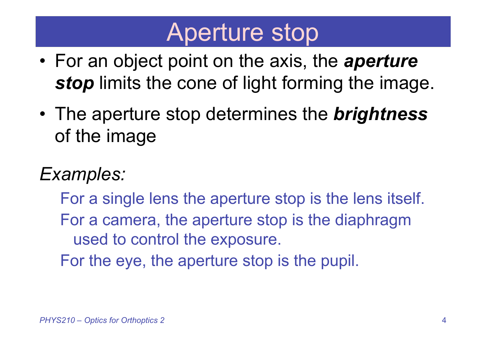## Aperture stop

- For an object point on the axis, the *aperture* **stop** limits the cone of light forming the image.
- The aperture stop determines the *brightness* of the image

### *Examples:*

For a single lens the aperture stop is the lens itself. For a camera, the aperture stop is the diaphragm used to control the exposure.

For the eye, the aperture stop is the pupil.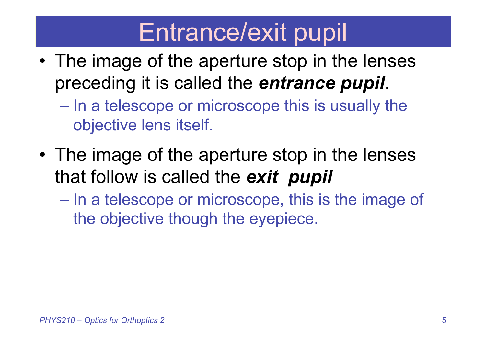# Entrance/exit pupil

- The image of the aperture stop in the lenses preceding it is called the *entrance pupil*.
	- In a telescope or microscope this is usually the objective lens itself.
- The image of the aperture stop in the lenses that follow is called the *exit pupil*
	- In a telescope or microscope, this is the image of the objective though the eyepiece.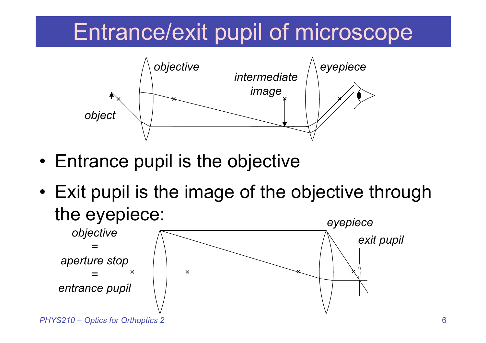### Entrance/exit pupil of microscope



- Entrance pupil is the objective
- Exit pupil is the image of the objective through the eyepiece:

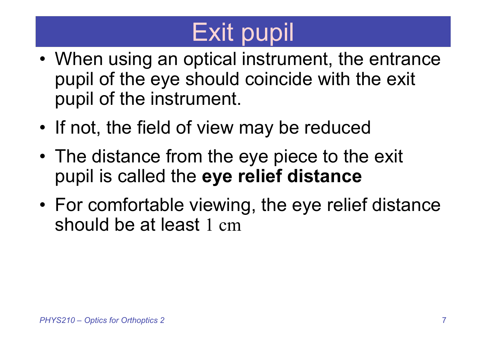# Exit pupil

- When using an optical instrument, the entrance pupil of the eye should coincide with the exit pupil of the instrument.
- If not, the field of view may be reduced
- The distance from the eye piece to the exit pupil is called the **eye relief distance**
- For comfortable viewing, the eye relief distance should be at least 1 cm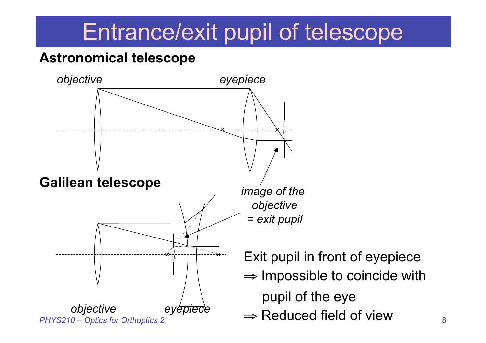### Entrance/exit pupil of telescope

#### **Astronomical telescope**

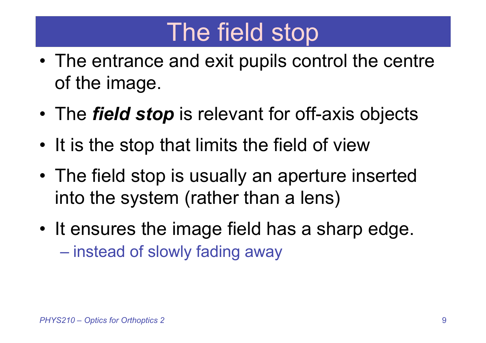# The field stop

- The entrance and exit pupils control the centre of the image.
- The *field stop* is relevant for off-axis objects
- It is the stop that limits the field of view
- The field stop is usually an aperture inserted into the system (rather than a lens)
- It ensures the image field has a sharp edge. – instead of slowly fading away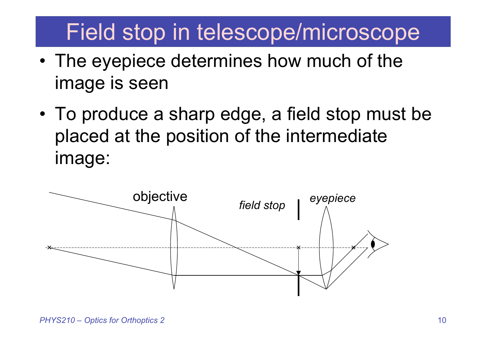### Field stop in telescope/microscope

- The eyepiece determines how much of the image is seen
- To produce a sharp edge, a field stop must be placed at the position of the intermediate image:

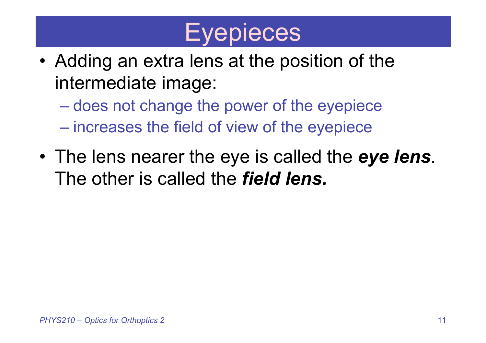# **Eyepieces**

- Adding an extra lens at the position of the intermediate image:
	- does not change the power of the eyepiece
	- increases the field of view of the eyepiece
- The lens nearer the eye is called the *eye lens*. The other is called the *field lens.*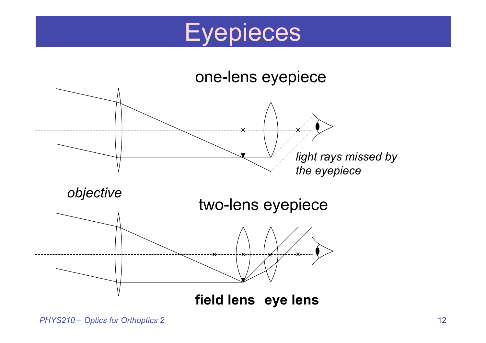

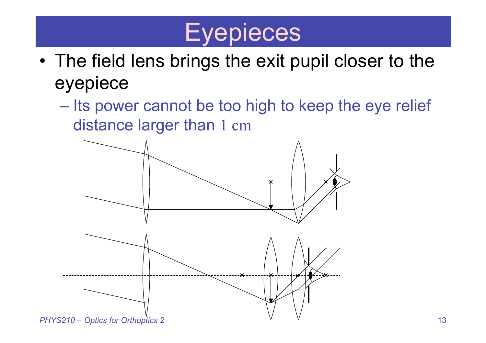# **Eyepieces**

- The field lens brings the exit pupil closer to the eyepiece
	- Its power cannot be too high to keep the eye relief distance larger than 1 cm

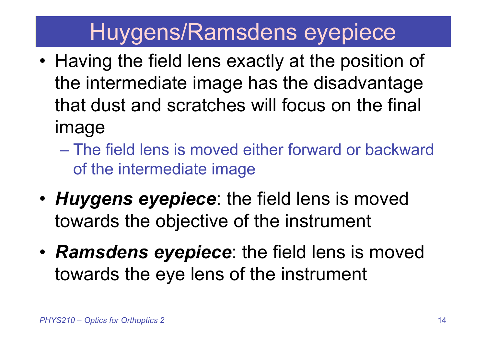### Huygens/Ramsdens eyepiece

- Having the field lens exactly at the position of the intermediate image has the disadvantage that dust and scratches will focus on the final image
	- The field lens is moved either forward or backward of the intermediate image
- *Huygens eyepiece*: the field lens is moved towards the objective of the instrument
- *Ramsdens eyepiece*: the field lens is moved towards the eye lens of the instrument